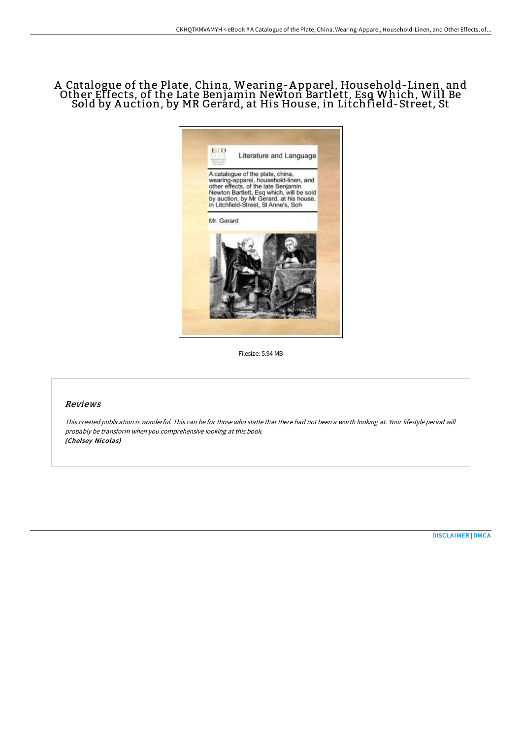# A Catalogue of the Plate, China, Wearing-A pparel, Household-Linen, and Other Effects, of the Late Benjamin Newton Bartlett, Esq Which, Will Be Sold by A uction, by MR Gerard, at His House, in Litchfield-Street, St



Filesize: 5.94 MB

# Reviews

This created publication is wonderful. This can be for those who statte that there had not been <sup>a</sup> worth looking at. Your lifestyle period will probably be transform when you comprehensive looking at this book. (Chelsey Nicolas)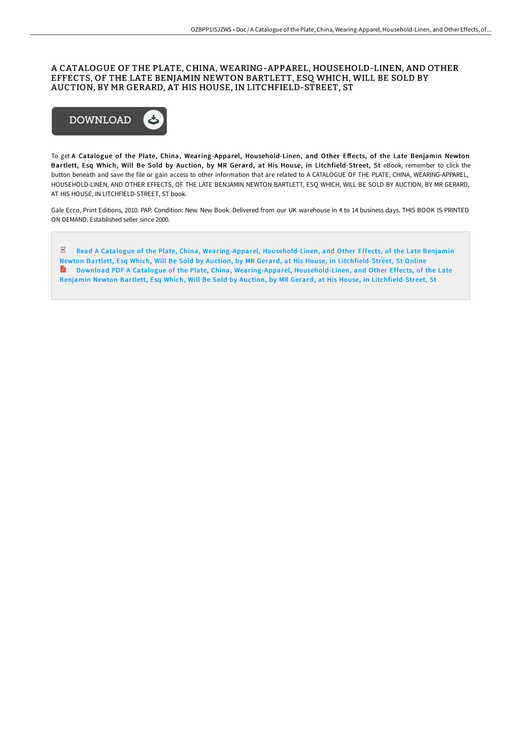# A CATALOGUE OF THE PLATE, CHINA, WEARING-APPAREL, HOUSEHOLD-LINEN, AND OTHER EFFECTS, OF THE LATE BENJAMIN NEWTON BARTLETT, ESQ WHICH, WILL BE SOLD BY AUCTION, BY MR GERARD, AT HIS HOUSE, IN LITCHFIELD-STREET, ST



To get A Catalogue of the Plate, China, Wearing-Apparel, Household-Linen, and Other Effects, of the Late Benjamin Newton Bartlett, Esq Which, Will Be Sold by Auction, by MR Gerard, at His House, in Litchfield-Street, St eBook, remember to click the button beneath and save the file or gain access to other information that are related to A CATALOGUE OF THE PLATE, CHINA, WEARING-APPAREL, HOUSEHOLD-LINEN, AND OTHER EFFECTS, OF THE LATE BENJAMIN NEWTON BARTLETT, ESQ WHICH, WILL BE SOLD BY AUCTION, BY MR GERARD, AT HIS HOUSE, IN LITCHFIELD-STREET, ST book.

Gale Ecco, Print Editions, 2010. PAP. Condition: New. New Book. Delivered from our UK warehouse in 4 to 14 business days. THIS BOOK IS PRINTED ON DEMAND. Established seller since 2000.

 $\overline{\text{pos}}$ Read A Catalogue of the Plate, China, [Wearing-Apparel,](http://bookera.tech/a-catalogue-of-the-plate-china-wearing-apparel-h.html) Household-Linen, and Other Effects, of the Late Benjamin Newton Bartlett, Esq Which, Will Be Sold by Auction, by MR Gerard, at His House, in Litchfield-Street, St Online<br>Depromined PDF A Catalogue of the Plate, China, Wearing-Apparel, Household-Linen, and Other Effects, of the Download PDF A Catalogue of the Plate, China, [Wearing-Apparel,](http://bookera.tech/a-catalogue-of-the-plate-china-wearing-apparel-h.html) Household-Linen, and Other Effects, of the Late Benjamin Newton Bartlett, Esq Which, Will Be Sold by Auction, by MR Gerard, at His House, in Litchfield-Street, St